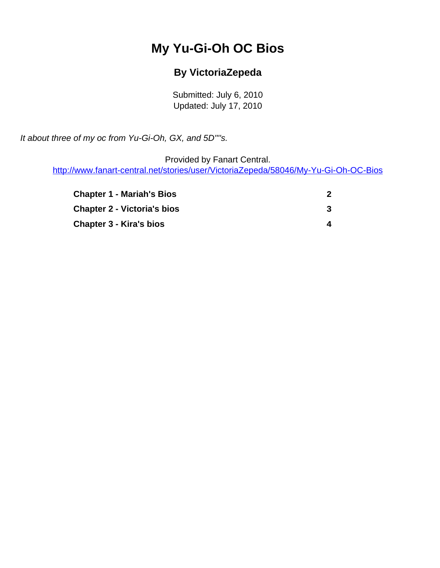# **My Yu-Gi-Oh OC Bios**

## **By VictoriaZepeda**

Submitted: July 6, 2010 Updated: July 17, 2010

<span id="page-0-0"></span>It about three of my oc from Yu-Gi-Oh, GX, and 5D''''s.

Provided by Fanart Central.

[http://www.fanart-central.net/stories/user/VictoriaZepeda/58046/My-Yu-Gi-Oh-OC-Bios](#page-0-0)

| <b>Chapter 1 - Mariah's Bios</b>   |   |
|------------------------------------|---|
| <b>Chapter 2 - Victoria's bios</b> |   |
| <b>Chapter 3 - Kira's bios</b>     | 4 |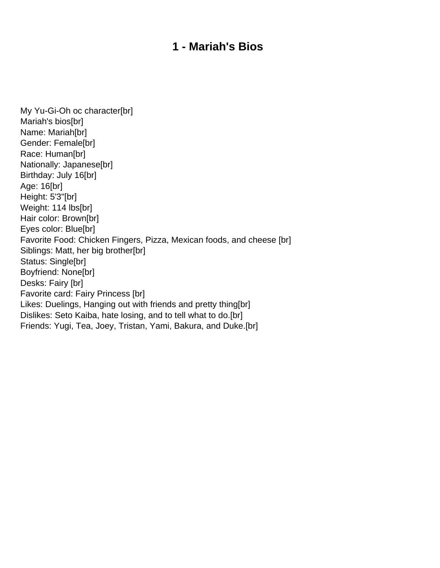#### **1 - Mariah's Bios**

<span id="page-1-0"></span>My Yu-Gi-Oh oc character[br] Mariah's bios[br] Name: Mariah[br] Gender: Female[br] Race: Human[br] Nationally: Japanese[br] Birthday: July 16[br] Age: 16[br] Height: 5'3"[br] Weight: 114 lbs[br] Hair color: Brown[br] Eyes color: Blue[br] Favorite Food: Chicken Fingers, Pizza, Mexican foods, and cheese [br] Siblings: Matt, her big brother[br] Status: Single[br] Boyfriend: None[br] Desks: Fairy [br] Favorite card: Fairy Princess [br] Likes: Duelings, Hanging out with friends and pretty thing[br] Dislikes: Seto Kaiba, hate losing, and to tell what to do.[br] Friends: Yugi, Tea, Joey, Tristan, Yami, Bakura, and Duke.[br]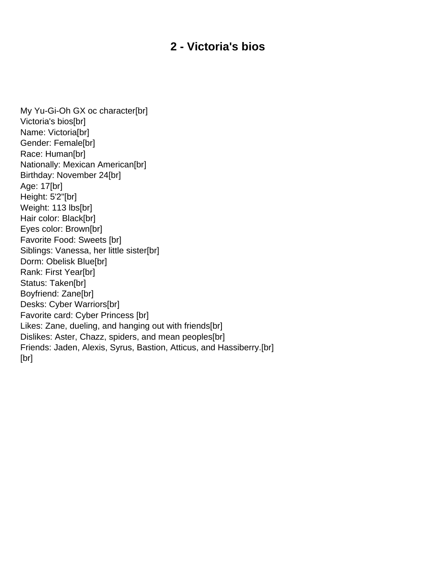### **2 - Victoria's bios**

<span id="page-2-0"></span>My Yu-Gi-Oh GX oc character[br] Victoria's bios[br] Name: Victoria[br] Gender: Female[br] Race: Human[br] Nationally: Mexican American[br] Birthday: November 24[br] Age: 17[br] Height: 5'2"[br] Weight: 113 lbs[br] Hair color: Black[br] Eyes color: Brown[br] Favorite Food: Sweets [br] Siblings: Vanessa, her little sister[br] Dorm: Obelisk Blue[br] Rank: First Year[br] Status: Taken[br] Boyfriend: Zane[br] Desks: Cyber Warriors[br] Favorite card: Cyber Princess [br] Likes: Zane, dueling, and hanging out with friends[br] Dislikes: Aster, Chazz, spiders, and mean peoples[br] Friends: Jaden, Alexis, Syrus, Bastion, Atticus, and Hassiberry.[br] [br]